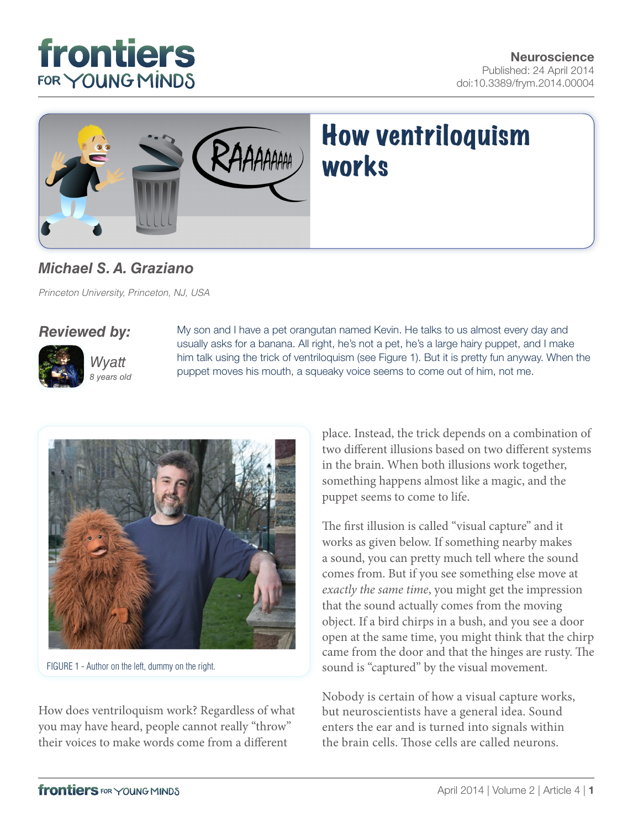



### *[Michael S. A. Graziano](http://community.frontiersin.org/people/u/44388)*

*Princeton University, Princeton, NJ, USA*

#### *Reviewed by:*



*Wyatt 8 years old* My son and I have a pet orangutan named Kevin. He talks to us almost every day and usually asks for a banana. All right, he's not a pet, he's a large hairy puppet, and I make him talk using the trick of ventriloquism (see Figure 1). But it is pretty fun anyway. When the puppet moves his mouth, a squeaky voice seems to come out of him, not me.



FIGURE 1 - Author on the left, dummy on the right.

How does ventriloquism work? Regardless of what you may have heard, people cannot really "throw" their voices to make words come from a different

place. Instead, the trick depends on a combination of two different illusions based on two different systems in the brain. When both illusions work together, something happens almost like a magic, and the puppet seems to come to life.

The first illusion is called "visual capture" and it works as given below. If something nearby makes a sound, you can pretty much tell where the sound comes from. But if you see something else move at *exactly the same time*, you might get the impression that the sound actually comes from the moving object. If a bird chirps in a bush, and you see a door open at the same time, you might think that the chirp came from the door and that the hinges are rusty. The sound is "captured" by the visual movement.

Nobody is certain of how a visual capture works, but neuroscientists have a general idea. Sound enters the ear and is turned into signals within the brain cells. Those cells are called neurons.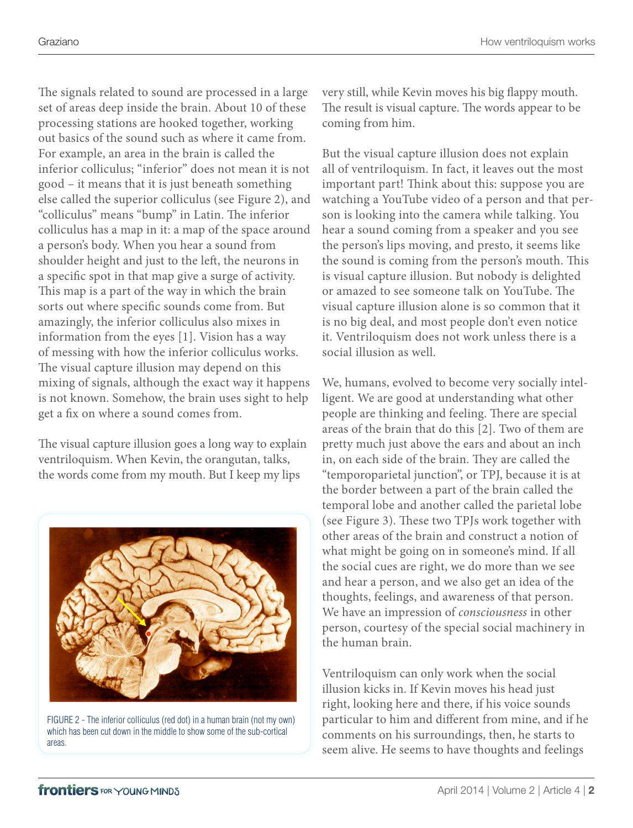The signals related to sound are processed in a large set of areas deep inside the brain. About 10 of these processing stations are hooked together, working out basics of the sound such as where it came from. For example, an area in the brain is called the inferior colliculus; "inferior" does not mean it is not good – it means that it is just beneath something else called the superior colliculus (see Figure 2), and "colliculus" means "bump" in Latin. The inferior colliculus has a map in it: a map of the space around a person's body. When you hear a sound from shoulder height and just to the left, the neurons in a specific spot in that map give a surge of activity. This map is a part of the way in which the brain sorts out where specific sounds come from. But amazingly, the inferior colliculus also mixes in information from the eyes [\[1\]](#page-2-0). Vision has a way of messing with how the inferior colliculus works. The visual capture illusion may depend on this mixing of signals, although the exact way it happens is not known. Somehow, the brain uses sight to help get a fix on where a sound comes from.

The visual capture illusion goes a long way to explain ventriloquism. When Kevin, the orangutan, talks, the words come from my mouth. But I keep my lips



FIGURE 2 - The inferior colliculus (red dot) in a human brain (not my own) which has been cut down in the middle to show some of the sub-cortical areas.

very still, while Kevin moves his big flappy mouth. The result is visual capture. The words appear to be coming from him.

But the visual capture illusion does not explain all of ventriloquism. In fact, it leaves out the most important part! Think about this: suppose you are watching a YouTube video of a person and that person is looking into the camera while talking. You hear a sound coming from a speaker and you see the person's lips moving, and presto, it seems like the sound is coming from the person's mouth. This is visual capture illusion. But nobody is delighted or amazed to see someone talk on YouTube. The visual capture illusion alone is so common that it is no big deal, and most people don't even notice it. Ventriloquism does not work unless there is a social illusion as well.

We, humans, evolved to become very socially intelligent. We are good at understanding what other people are thinking and feeling. There are special areas of the brain that do this [\[2\]](#page-2-0). Two of them are pretty much just above the ears and about an inch in, on each side of the brain. They are called the "temporoparietal junction", or TPJ, because it is at the border between a part of the brain called the temporal lobe and another called the parietal lobe (see [Figure 3\)](#page-2-0). These two TPJs work together with other areas of the brain and construct a notion of what might be going on in someone's mind. If all the social cues are right, we do more than we see and hear a person, and we also get an idea of the thoughts, feelings, and awareness of that person. We have an impression of *consciousness* in other person, courtesy of the special social machinery in the human brain.

Ventriloquism can only work when the social illusion kicks in. If Kevin moves his head just right, looking here and there, if his voice sounds particular to him and different from mine, and if he comments on his surroundings, then, he starts to seem alive. He seems to have thoughts and feelings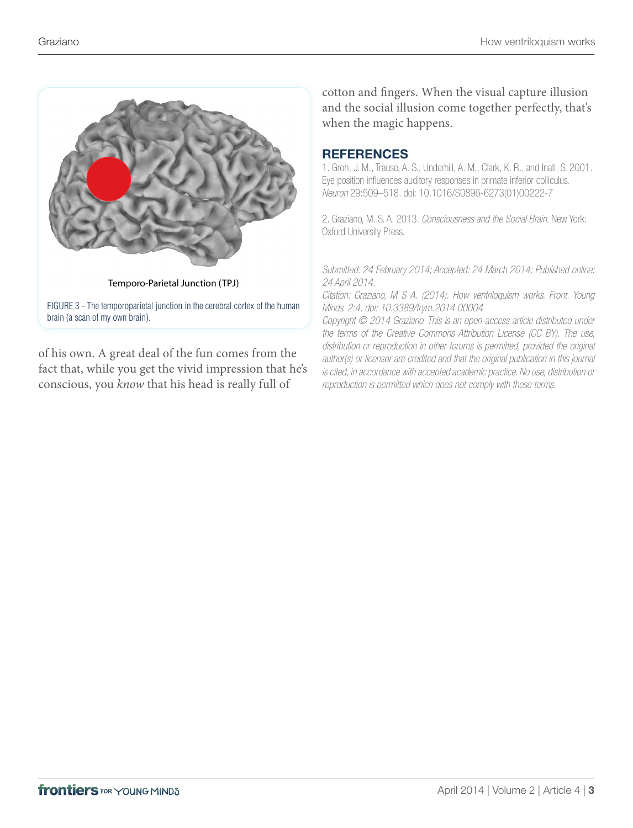<span id="page-2-0"></span>

of his own. A great deal of the fun comes from the fact that, while you get the vivid impression that he's conscious, you *know* that his head is really full of

cotton and fingers. When the visual capture illusion and the social illusion come together perfectly, that's when the magic happens.

#### **REFERENCES**

1. Groh, J. M., Trause, A. S., Underhill, A. M., Clark, K. R., and Inati, S. 2001. Eye position influences auditory responses in primate inferior colliculus. *Neuron* 29:509–518. doi: 10.1016/S0896-6273(01)00222-7

2. Graziano, M. S. A. 2013. *Consciousness and the Social Brain*. New York: Oxford University Press.

*Submitted: 24 February 2014; Accepted: 24 March 2014; Published online: 24 April 2014.*

*Citation: Graziano, M S A. (2014). How ventriloquism works. Front. Young Minds. 2:4. doi: 10.3389/frym.2014.00004* 

*Copyright © 2014 Graziano. This is an open-access article distributed under the terms of the [Creative Commons Attribution License \(CC BY\).](http://creativecommons.org/licenses/by/3.0/) The use, distribution or reproduction in other forums is permitted, provided the original author(s) or licensor are credited and that the original publication in this journal is cited, in accordance with accepted academic practice. No use, distribution or reproduction is permitted which does not comply with these terms.*